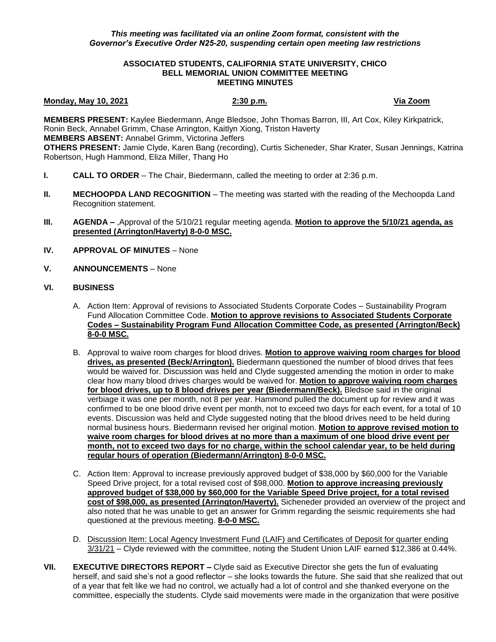# **ASSOCIATED STUDENTS, CALIFORNIA STATE UNIVERSITY, CHICO BELL MEMORIAL UNION COMMITTEE MEETING MEETING MINUTES**

### **Monday, May 10, 2021 2:30 p.m. Via Zoom**

**MEMBERS PRESENT:** Kaylee Biedermann, Ange Bledsoe, John Thomas Barron, III, Art Cox, Kiley Kirkpatrick, Ronin Beck, Annabel Grimm, Chase Arrington, Kaitlyn Xiong, Triston Haverty **MEMBERS ABSENT:** Annabel Grimm, Victorina Jeffers **OTHERS PRESENT:** Jamie Clyde, Karen Bang (recording), Curtis Sicheneder, Shar Krater, Susan Jennings, Katrina Robertson, Hugh Hammond, Eliza Miller, Thang Ho

- **I. CALL TO ORDER**  The Chair, Biedermann, called the meeting to order at 2:36 p.m.
- **II. MECHOOPDA LAND RECOGNITION** The meeting was started with the reading of the Mechoopda Land Recognition statement.
- **III. AGENDA –** ,Approval of the 5/10/21 regular meeting agenda. **Motion to approve the 5/10/21 agenda, as presented (Arrington/Haverty) 8-0-0 MSC.**
- **IV. APPROVAL OF MINUTES** None
- **V. ANNOUNCEMENTS** None

# **VI. BUSINESS**

- A. Action Item: Approval of revisions to Associated Students Corporate Codes Sustainability Program Fund Allocation Committee Code. **Motion to approve revisions to Associated Students Corporate Codes – Sustainability Program Fund Allocation Committee Code, as presented (Arrington/Beck) 8-0-0 MSC.**
- B. Approval to waive room charges for blood drives. **Motion to approve waiving room charges for blood drives, as presented (Beck/Arrington).** Biedermann questioned the number of blood drives that fees would be waived for. Discussion was held and Clyde suggested amending the motion in order to make clear how many blood drives charges would be waived for. **Motion to approve waiving room charges for blood drives, up to 8 blood drives per year (Biedermann/Beck).** Bledsoe said in the original verbiage it was one per month, not 8 per year. Hammond pulled the document up for review and it was confirmed to be one blood drive event per month, not to exceed two days for each event, for a total of 10 events. Discussion was held and Clyde suggested noting that the blood drives need to be held during normal business hours. Biedermann revised her original motion. **Motion to approve revised motion to waive room charges for blood drives at no more than a maximum of one blood drive event per month, not to exceed two days for no charge, within the school calendar year, to be held during regular hours of operation (Biedermann/Arrington) 8-0-0 MSC.**
- C. Action Item: Approval to increase previously approved budget of \$38,000 by \$60,000 for the Variable Speed Drive project, for a total revised cost of \$98,000. **Motion to approve increasing previously approved budget of \$38,000 by \$60,000 for the Variable Speed Drive project, for a total revised cost of \$98,000, as presented (Arrington/Haverty).** Sicheneder provided an overview of the project and also noted that he was unable to get an answer for Grimm regarding the seismic requirements she had questioned at the previous meeting. **8-0-0 MSC.**
- D. Discussion Item: Local Agency Investment Fund (LAIF) and Certificates of Deposit for quarter ending 3/31/21 – Clyde reviewed with the committee, noting the Student Union LAIF earned \$12,386 at 0.44%.
- **VII. EXECUTIVE DIRECTORS REPORT –** Clyde said as Executive Director she gets the fun of evaluating herself, and said she's not a good reflector – she looks towards the future. She said that she realized that out of a year that felt like we had no control, we actually had a lot of control and she thanked everyone on the committee, especially the students. Clyde said movements were made in the organization that were positive